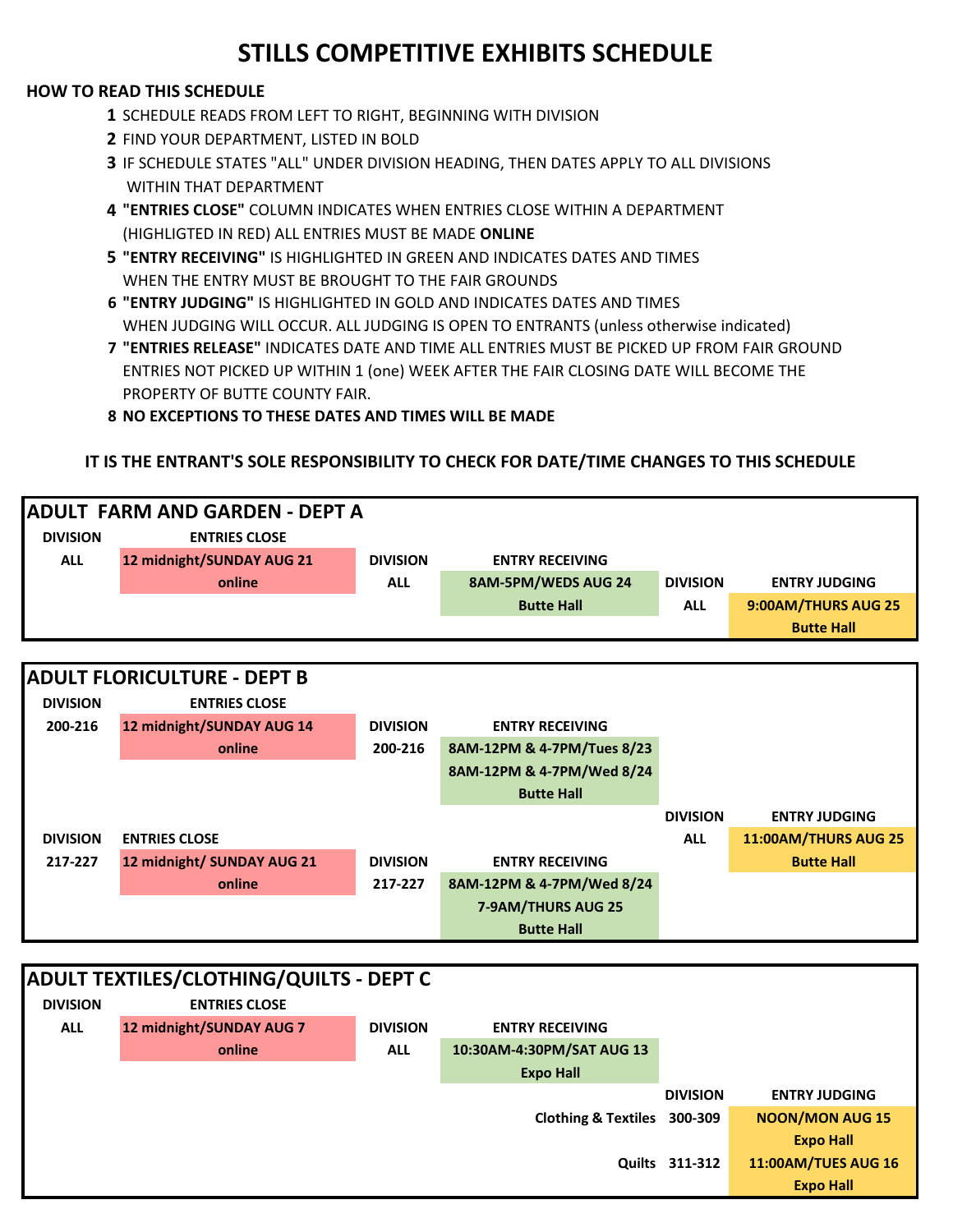#### **HOW TO READ THIS SCHEDULE**

- **1** SCHEDULE READS FROM LEFT TO RIGHT, BEGINNING WITH DIVISION
- **2** FIND YOUR DEPARTMENT, LISTED IN BOLD
- **3** IF SCHEDULE STATES "ALL" UNDER DIVISION HEADING, THEN DATES APPLY TO ALL DIVISIONS WITHIN THAT DEPARTMENT
- **4 "ENTRIES CLOSE"** COLUMN INDICATES WHEN ENTRIES CLOSE WITHIN A DEPARTMENT (HIGHLIGTED IN RED) ALL ENTRIES MUST BE MADE **ONLINE**
- **5 "ENTRY RECEIVING"** IS HIGHLIGHTED IN GREEN AND INDICATES DATES AND TIMES WHEN THE ENTRY MUST BE BROUGHT TO THE FAIR GROUNDS
- **6 "ENTRY JUDGING"** IS HIGHLIGHTED IN GOLD AND INDICATES DATES AND TIMES WHEN JUDGING WILL OCCUR. ALL JUDGING IS OPEN TO ENTRANTS (unless otherwise indicated)
- **7 "ENTRIES RELEASE"** INDICATES DATE AND TIME ALL ENTRIES MUST BE PICKED UP FROM FAIR GROUND ENTRIES NOT PICKED UP WITHIN 1 (one) WEEK AFTER THE FAIR CLOSING DATE WILL BECOME THE PROPERTY OF BUTTE COUNTY FAIR.

**8 NO EXCEPTIONS TO THESE DATES AND TIMES WILL BE MADE**

#### **IT IS THE ENTRANT'S SOLE RESPONSIBILITY TO CHECK FOR DATE/TIME CHANGES TO THIS SCHEDULE**

| <b>ADULT FARM AND GARDEN - DEPT A</b> |                                                |                 |                             |                 |                            |  |  |
|---------------------------------------|------------------------------------------------|-----------------|-----------------------------|-----------------|----------------------------|--|--|
| <b>DIVISION</b>                       | <b>ENTRIES CLOSE</b>                           |                 |                             |                 |                            |  |  |
| <b>ALL</b>                            | 12 midnight/SUNDAY AUG 21                      | <b>DIVISION</b> | <b>ENTRY RECEIVING</b>      |                 |                            |  |  |
|                                       | online                                         | <b>ALL</b>      | 8AM-5PM/WEDS AUG 24         | <b>DIVISION</b> | <b>ENTRY JUDGING</b>       |  |  |
|                                       |                                                |                 | <b>Butte Hall</b>           | <b>ALL</b>      | 9:00AM/THURS AUG 25        |  |  |
|                                       |                                                |                 |                             |                 | <b>Butte Hall</b>          |  |  |
|                                       |                                                |                 |                             |                 |                            |  |  |
| <b>ADULT FLORICULTURE - DEPT B</b>    |                                                |                 |                             |                 |                            |  |  |
| <b>DIVISION</b>                       | <b>ENTRIES CLOSE</b>                           |                 |                             |                 |                            |  |  |
| 200-216                               | 12 midnight/SUNDAY AUG 14                      | <b>DIVISION</b> | <b>ENTRY RECEIVING</b>      |                 |                            |  |  |
|                                       | online                                         | 200-216         | 8AM-12PM & 4-7PM/Tues 8/23  |                 |                            |  |  |
|                                       |                                                |                 | 8AM-12PM & 4-7PM/Wed 8/24   |                 |                            |  |  |
|                                       |                                                |                 | <b>Butte Hall</b>           |                 |                            |  |  |
|                                       |                                                |                 |                             | <b>DIVISION</b> | <b>ENTRY JUDGING</b>       |  |  |
| <b>DIVISION</b>                       | <b>ENTRIES CLOSE</b>                           |                 |                             | <b>ALL</b>      | 11:00AM/THURS AUG 25       |  |  |
| 217-227                               | 12 midnight/ SUNDAY AUG 21                     | <b>DIVISION</b> | <b>ENTRY RECEIVING</b>      |                 | <b>Butte Hall</b>          |  |  |
|                                       | online                                         | 217-227         | 8AM-12PM & 4-7PM/Wed 8/24   |                 |                            |  |  |
|                                       |                                                |                 | 7-9AM/THURS AUG 25          |                 |                            |  |  |
|                                       |                                                |                 | <b>Butte Hall</b>           |                 |                            |  |  |
|                                       |                                                |                 |                             |                 |                            |  |  |
|                                       | <b>ADULT TEXTILES/CLOTHING/QUILTS - DEPT C</b> |                 |                             |                 |                            |  |  |
| <b>DIVISION</b>                       | <b>ENTRIES CLOSE</b>                           |                 |                             |                 |                            |  |  |
| <b>ALL</b>                            | 12 midnight/SUNDAY AUG 7                       | <b>DIVISION</b> | <b>ENTRY RECEIVING</b>      |                 |                            |  |  |
|                                       | online                                         | <b>ALL</b>      | 10:30AM-4:30PM/SAT AUG 13   |                 |                            |  |  |
|                                       |                                                |                 | <b>Expo Hall</b>            |                 |                            |  |  |
|                                       |                                                |                 |                             | <b>DIVISION</b> | <b>ENTRY JUDGING</b>       |  |  |
|                                       |                                                |                 | Clothing & Textiles 300-309 |                 | <b>NOON/MON AUG 15</b>     |  |  |
|                                       |                                                |                 |                             |                 | <b>Expo Hall</b>           |  |  |
|                                       |                                                |                 |                             | Quilts 311-312  | <b>11:00AM/TUES AUG 16</b> |  |  |
|                                       |                                                |                 |                             |                 | <b>Expo Hall</b>           |  |  |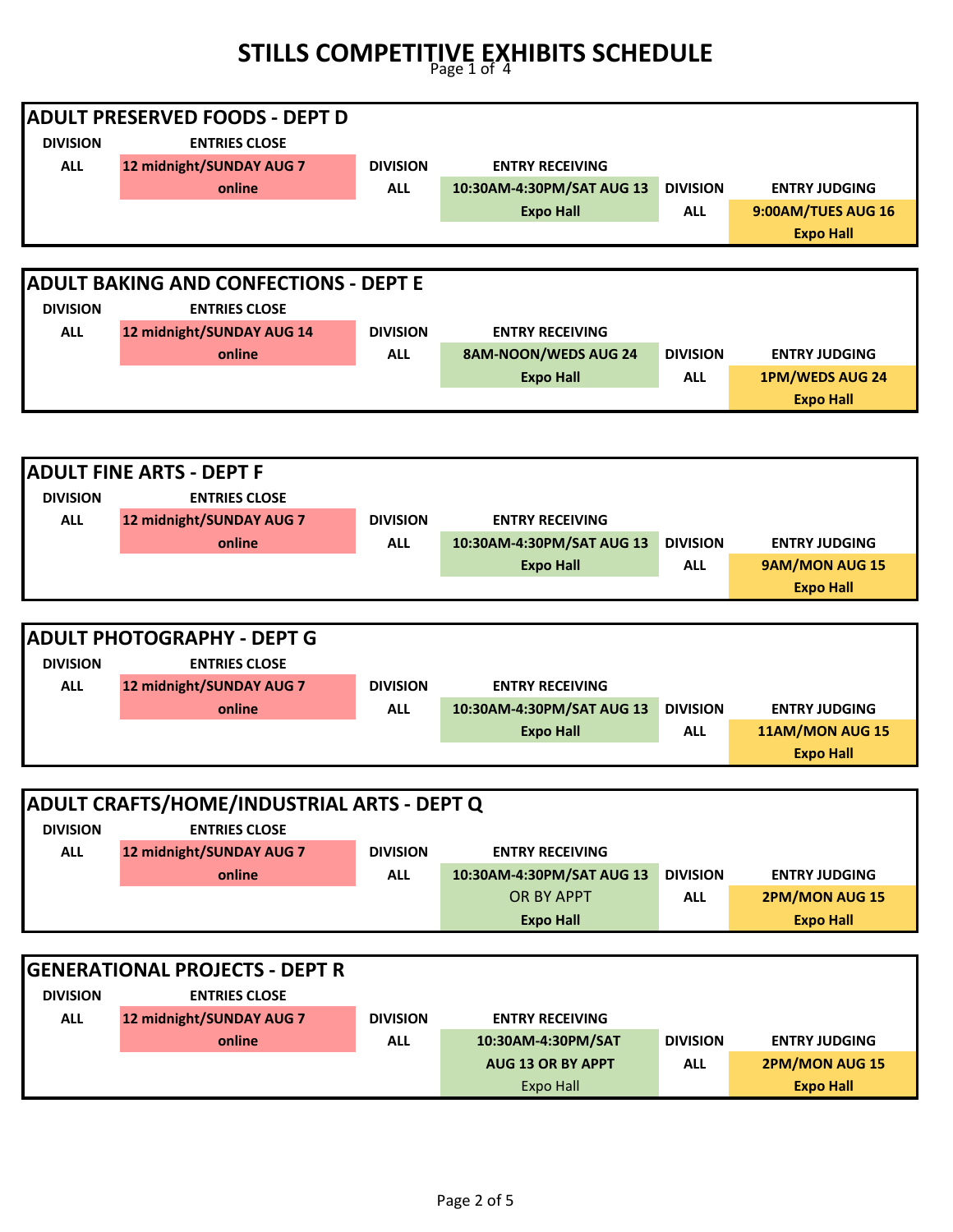|                 | <b>ADULT PRESERVED FOODS - DEPT D</b>        |                 |                                              |                 |                                    |  |  |
|-----------------|----------------------------------------------|-----------------|----------------------------------------------|-----------------|------------------------------------|--|--|
| <b>DIVISION</b> | <b>ENTRIES CLOSE</b>                         |                 |                                              |                 |                                    |  |  |
| <b>ALL</b>      | 12 midnight/SUNDAY AUG 7                     | <b>DIVISION</b> | <b>ENTRY RECEIVING</b>                       |                 |                                    |  |  |
|                 | online                                       | <b>ALL</b>      | 10:30AM-4:30PM/SAT AUG 13                    | <b>DIVISION</b> | <b>ENTRY JUDGING</b>               |  |  |
|                 |                                              |                 | <b>Expo Hall</b>                             | <b>ALL</b>      | 9:00AM/TUES AUG 16                 |  |  |
|                 |                                              |                 |                                              |                 | <b>Expo Hall</b>                   |  |  |
|                 |                                              |                 |                                              |                 |                                    |  |  |
|                 | <b>ADULT BAKING AND CONFECTIONS - DEPT E</b> |                 |                                              |                 |                                    |  |  |
| <b>DIVISION</b> | <b>ENTRIES CLOSE</b>                         |                 |                                              |                 |                                    |  |  |
| <b>ALL</b>      | 12 midnight/SUNDAY AUG 14                    | <b>DIVISION</b> | <b>ENTRY RECEIVING</b>                       |                 |                                    |  |  |
|                 | online                                       | <b>ALL</b>      | 8AM-NOON/WEDS AUG 24                         | <b>DIVISION</b> | <b>ENTRY JUDGING</b>               |  |  |
|                 |                                              |                 | <b>Expo Hall</b>                             | <b>ALL</b>      | <b>1PM/WEDS AUG 24</b>             |  |  |
|                 |                                              |                 |                                              |                 | <b>Expo Hall</b>                   |  |  |
|                 |                                              |                 |                                              |                 |                                    |  |  |
|                 |                                              |                 |                                              |                 |                                    |  |  |
|                 | <b>ADULT FINE ARTS - DEPT F</b>              |                 |                                              |                 |                                    |  |  |
| <b>DIVISION</b> | <b>ENTRIES CLOSE</b>                         |                 |                                              |                 |                                    |  |  |
| <b>ALL</b>      | 12 midnight/SUNDAY AUG 7                     | <b>DIVISION</b> | <b>ENTRY RECEIVING</b>                       |                 |                                    |  |  |
|                 | online                                       | <b>ALL</b>      | 10:30AM-4:30PM/SAT AUG 13                    | <b>DIVISION</b> | <b>ENTRY JUDGING</b>               |  |  |
|                 |                                              |                 | <b>Expo Hall</b>                             | <b>ALL</b>      | 9AM/MON AUG 15                     |  |  |
|                 |                                              |                 |                                              |                 | <b>Expo Hall</b>                   |  |  |
|                 |                                              |                 |                                              |                 |                                    |  |  |
|                 |                                              |                 |                                              |                 |                                    |  |  |
|                 | <b>ADULT PHOTOGRAPHY - DEPT G</b>            |                 |                                              |                 |                                    |  |  |
| <b>DIVISION</b> | <b>ENTRIES CLOSE</b>                         |                 |                                              |                 |                                    |  |  |
| <b>ALL</b>      | 12 midnight/SUNDAY AUG 7                     | <b>DIVISION</b> | <b>ENTRY RECEIVING</b>                       |                 |                                    |  |  |
|                 | online                                       | <b>ALL</b>      | 10:30AM-4:30PM/SAT AUG 13                    | <b>DIVISION</b> | <b>ENTRY JUDGING</b>               |  |  |
|                 |                                              |                 | <b>Expo Hall</b>                             | <b>ALL</b>      | 11AM/MON AUG 15                    |  |  |
|                 |                                              |                 |                                              |                 | <b>Expo Hall</b>                   |  |  |
|                 |                                              |                 |                                              |                 |                                    |  |  |
|                 | ADULT CRAFTS/HOME/INDUSTRIAL ARTS - DEPT Q   |                 |                                              |                 |                                    |  |  |
| <b>DIVISION</b> | <b>ENTRIES CLOSE</b>                         |                 |                                              |                 |                                    |  |  |
| <b>ALL</b>      | 12 midnight/SUNDAY AUG 7                     | <b>DIVISION</b> | <b>ENTRY RECEIVING</b>                       |                 |                                    |  |  |
|                 | online                                       | <b>ALL</b>      | 10:30AM-4:30PM/SAT AUG 13                    | <b>DIVISION</b> | <b>ENTRY JUDGING</b>               |  |  |
|                 |                                              |                 | OR BY APPT                                   | <b>ALL</b>      | <b>2PM/MON AUG 15</b>              |  |  |
|                 |                                              |                 | <b>Expo Hall</b>                             |                 | <b>Expo Hall</b>                   |  |  |
|                 |                                              |                 |                                              |                 |                                    |  |  |
|                 | <b>GENERATIONAL PROJECTS - DEPT R</b>        |                 |                                              |                 |                                    |  |  |
| <b>DIVISION</b> | <b>ENTRIES CLOSE</b>                         |                 |                                              |                 |                                    |  |  |
| <b>ALL</b>      | 12 midnight/SUNDAY AUG 7                     | <b>DIVISION</b> | <b>ENTRY RECEIVING</b>                       |                 |                                    |  |  |
|                 | online                                       | <b>ALL</b>      | 10:30AM-4:30PM/SAT                           | <b>DIVISION</b> | <b>ENTRY JUDGING</b>               |  |  |
|                 |                                              |                 | <b>AUG 13 OR BY APPT</b><br><b>Expo Hall</b> | <b>ALL</b>      | 2PM/MON AUG 15<br><b>Expo Hall</b> |  |  |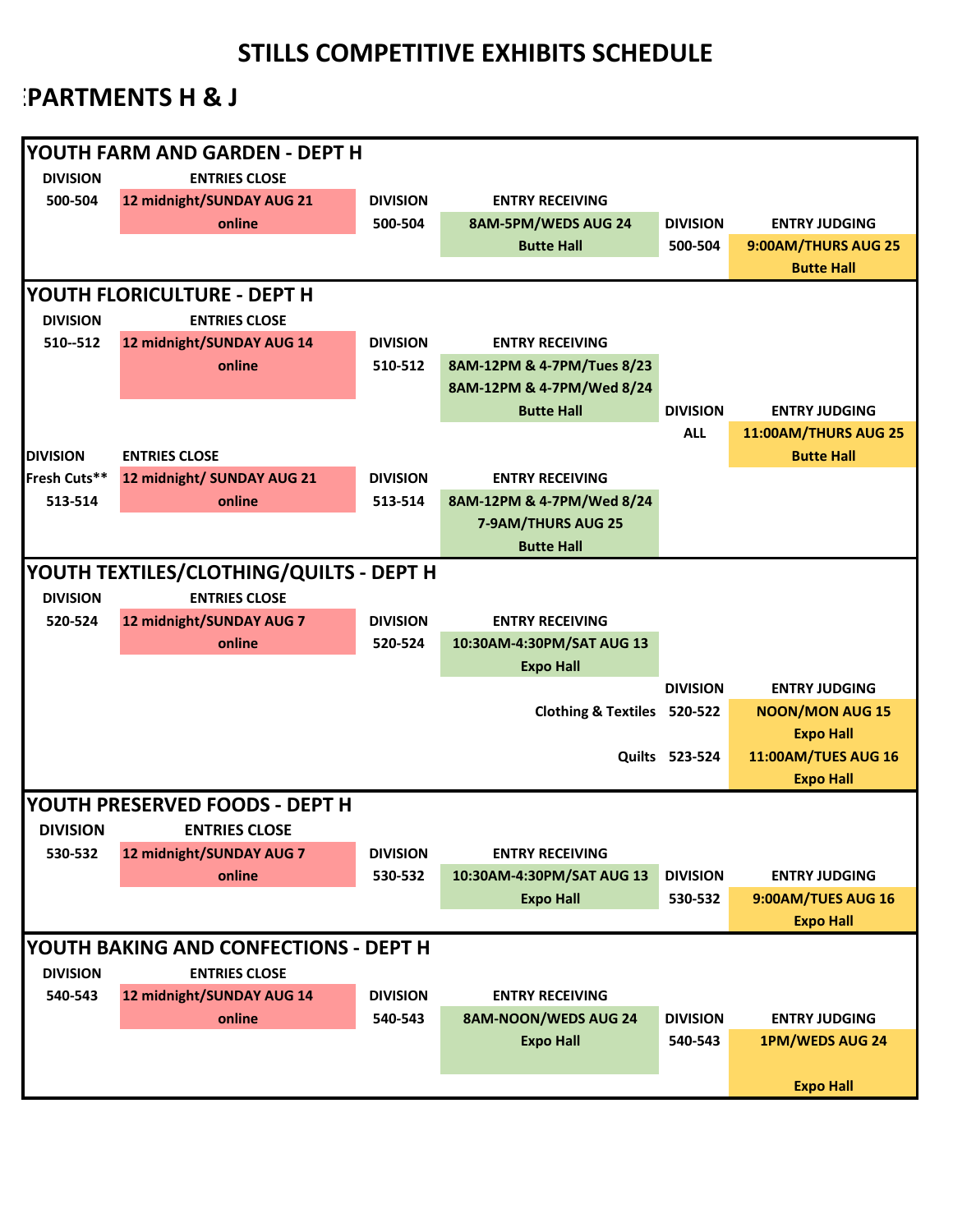### **PARTMENTS H & J**

| YOUTH FARM AND GARDEN - DEPT H          |                                         |                 |                             |                       |                            |  |
|-----------------------------------------|-----------------------------------------|-----------------|-----------------------------|-----------------------|----------------------------|--|
| <b>DIVISION</b><br><b>ENTRIES CLOSE</b> |                                         |                 |                             |                       |                            |  |
| 500-504                                 | 12 midnight/SUNDAY AUG 21               | <b>DIVISION</b> | <b>ENTRY RECEIVING</b>      |                       |                            |  |
|                                         | online                                  | 500-504         | 8AM-5PM/WEDS AUG 24         | <b>DIVISION</b>       | <b>ENTRY JUDGING</b>       |  |
|                                         |                                         |                 | <b>Butte Hall</b>           | 500-504               | 9:00AM/THURS AUG 25        |  |
|                                         |                                         |                 |                             |                       | <b>Butte Hall</b>          |  |
|                                         |                                         |                 |                             |                       |                            |  |
|                                         | YOUTH FLORICULTURE - DEPT H             |                 |                             |                       |                            |  |
| <b>DIVISION</b>                         | <b>ENTRIES CLOSE</b>                    |                 |                             |                       |                            |  |
| 510--512                                | 12 midnight/SUNDAY AUG 14               | <b>DIVISION</b> | <b>ENTRY RECEIVING</b>      |                       |                            |  |
|                                         | online                                  | 510-512         | 8AM-12PM & 4-7PM/Tues 8/23  |                       |                            |  |
|                                         |                                         |                 | 8AM-12PM & 4-7PM/Wed 8/24   |                       |                            |  |
|                                         |                                         |                 | <b>Butte Hall</b>           | <b>DIVISION</b>       | <b>ENTRY JUDGING</b>       |  |
|                                         |                                         |                 |                             | <b>ALL</b>            | 11:00AM/THURS AUG 25       |  |
| <b>DIVISION</b>                         | <b>ENTRIES CLOSE</b>                    |                 |                             |                       | <b>Butte Hall</b>          |  |
| Fresh Cuts**                            | 12 midnight/ SUNDAY AUG 21              | <b>DIVISION</b> | <b>ENTRY RECEIVING</b>      |                       |                            |  |
| 513-514                                 | online                                  | 513-514         | 8AM-12PM & 4-7PM/Wed 8/24   |                       |                            |  |
|                                         |                                         |                 | 7-9AM/THURS AUG 25          |                       |                            |  |
|                                         |                                         |                 | <b>Butte Hall</b>           |                       |                            |  |
|                                         | YOUTH TEXTILES/CLOTHING/QUILTS - DEPT H |                 |                             |                       |                            |  |
| <b>DIVISION</b>                         | <b>ENTRIES CLOSE</b>                    |                 |                             |                       |                            |  |
| 520-524                                 | 12 midnight/SUNDAY AUG 7                | <b>DIVISION</b> | <b>ENTRY RECEIVING</b>      |                       |                            |  |
|                                         | online                                  | 520-524         | 10:30AM-4:30PM/SAT AUG 13   |                       |                            |  |
|                                         |                                         |                 | <b>Expo Hall</b>            |                       |                            |  |
|                                         |                                         |                 |                             | <b>DIVISION</b>       | <b>ENTRY JUDGING</b>       |  |
|                                         |                                         |                 | Clothing & Textiles 520-522 |                       | <b>NOON/MON AUG 15</b>     |  |
|                                         |                                         |                 |                             |                       | <b>Expo Hall</b>           |  |
|                                         |                                         |                 |                             | <b>Quilts 523-524</b> | <b>11:00AM/TUES AUG 16</b> |  |
|                                         |                                         |                 |                             |                       | <b>Expo Hall</b>           |  |
|                                         | YOUTH PRESERVED FOODS - DEPT H          |                 |                             |                       |                            |  |
| <b>DIVISION</b>                         | <b>ENTRIES CLOSE</b>                    |                 |                             |                       |                            |  |
| 530-532                                 | 12 midnight/SUNDAY AUG 7                | <b>DIVISION</b> | <b>ENTRY RECEIVING</b>      |                       |                            |  |
|                                         | online                                  | 530-532         | 10:30AM-4:30PM/SAT AUG 13   | <b>DIVISION</b>       | <b>ENTRY JUDGING</b>       |  |
|                                         |                                         |                 | <b>Expo Hall</b>            | 530-532               | 9:00AM/TUES AUG 16         |  |
|                                         |                                         |                 |                             |                       | <b>Expo Hall</b>           |  |
|                                         | YOUTH BAKING AND CONFECTIONS - DEPT H   |                 |                             |                       |                            |  |
| <b>DIVISION</b>                         | <b>ENTRIES CLOSE</b>                    |                 |                             |                       |                            |  |
| 540-543                                 | 12 midnight/SUNDAY AUG 14               | <b>DIVISION</b> | <b>ENTRY RECEIVING</b>      |                       |                            |  |
|                                         | online                                  | 540-543         | 8AM-NOON/WEDS AUG 24        | <b>DIVISION</b>       | <b>ENTRY JUDGING</b>       |  |
|                                         |                                         |                 | <b>Expo Hall</b>            | 540-543               | <b>1PM/WEDS AUG 24</b>     |  |
|                                         |                                         |                 |                             |                       |                            |  |
|                                         |                                         |                 |                             |                       | <b>Expo Hall</b>           |  |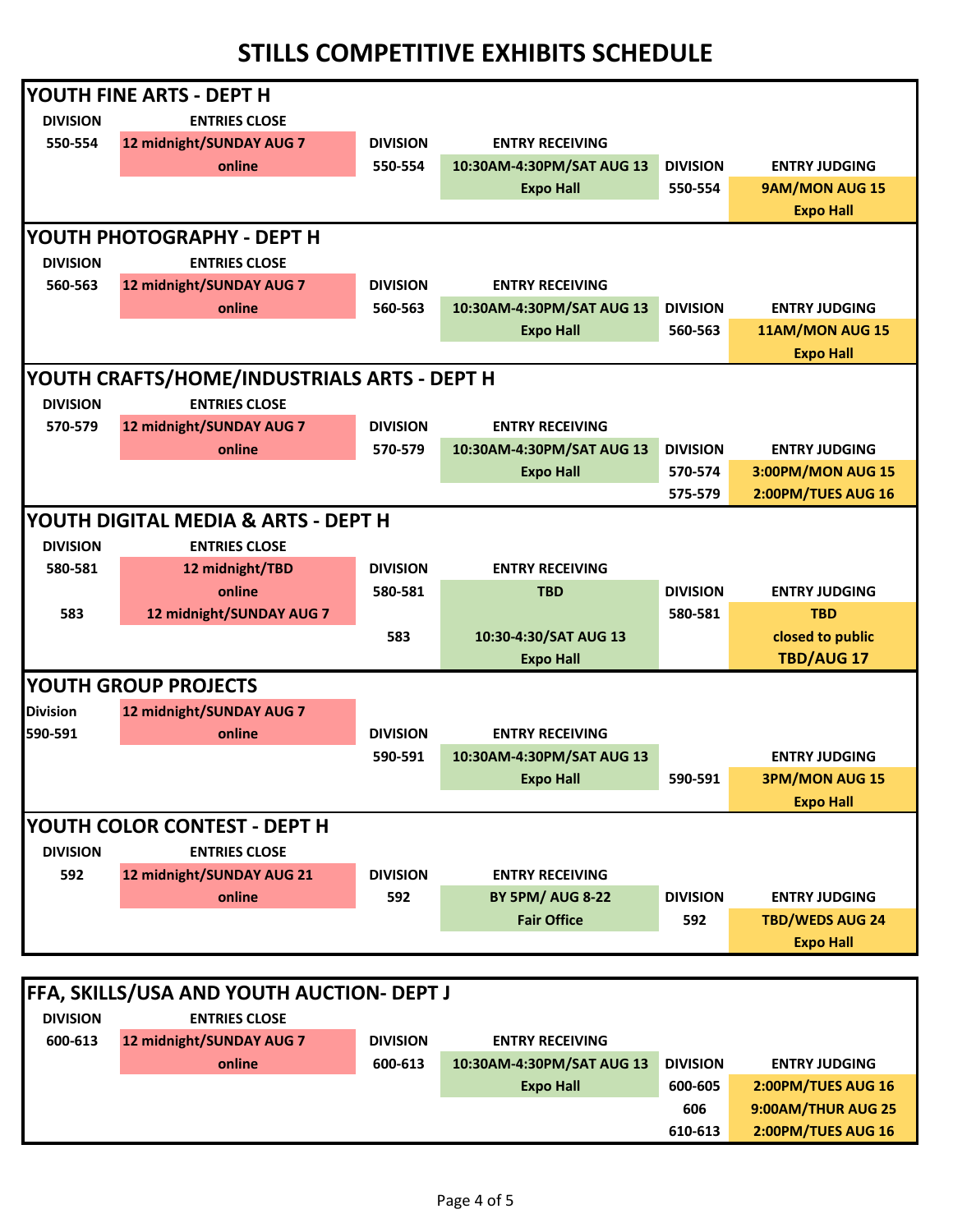|                 | IYOUTH FINE ARTS - DEPT H                   |                 |                           |                 |                          |
|-----------------|---------------------------------------------|-----------------|---------------------------|-----------------|--------------------------|
| <b>DIVISION</b> | <b>ENTRIES CLOSE</b>                        |                 |                           |                 |                          |
| 550-554         | 12 midnight/SUNDAY AUG 7                    | <b>DIVISION</b> | <b>ENTRY RECEIVING</b>    |                 |                          |
|                 | online                                      | 550-554         | 10:30AM-4:30PM/SAT AUG 13 | <b>DIVISION</b> | <b>ENTRY JUDGING</b>     |
|                 |                                             |                 | <b>Expo Hall</b>          | 550-554         | 9AM/MON AUG 15           |
|                 |                                             |                 |                           |                 | <b>Expo Hall</b>         |
|                 | <b>YOUTH PHOTOGRAPHY - DEPT H</b>           |                 |                           |                 |                          |
| <b>DIVISION</b> | <b>ENTRIES CLOSE</b>                        |                 |                           |                 |                          |
| 560-563         | 12 midnight/SUNDAY AUG 7                    | <b>DIVISION</b> | <b>ENTRY RECEIVING</b>    |                 |                          |
|                 | online                                      | 560-563         | 10:30AM-4:30PM/SAT AUG 13 | <b>DIVISION</b> | <b>ENTRY JUDGING</b>     |
|                 |                                             |                 | <b>Expo Hall</b>          | 560-563         | 11AM/MON AUG 15          |
|                 |                                             |                 |                           |                 | <b>Expo Hall</b>         |
|                 | YOUTH CRAFTS/HOME/INDUSTRIALS ARTS - DEPT H |                 |                           |                 |                          |
| <b>DIVISION</b> | <b>ENTRIES CLOSE</b>                        |                 |                           |                 |                          |
| 570-579         | 12 midnight/SUNDAY AUG 7                    | <b>DIVISION</b> | <b>ENTRY RECEIVING</b>    |                 |                          |
|                 | online                                      | 570-579         | 10:30AM-4:30PM/SAT AUG 13 | <b>DIVISION</b> | <b>ENTRY JUDGING</b>     |
|                 |                                             |                 | <b>Expo Hall</b>          | 570-574         | <b>3:00PM/MON AUG 15</b> |
|                 |                                             |                 |                           | 575-579         | 2:00PM/TUES AUG 16       |
|                 | YOUTH DIGITAL MEDIA & ARTS - DEPT H         |                 |                           |                 |                          |
| <b>DIVISION</b> | <b>ENTRIES CLOSE</b>                        |                 |                           |                 |                          |
| 580-581         | 12 midnight/TBD                             | <b>DIVISION</b> | <b>ENTRY RECEIVING</b>    |                 |                          |
|                 | online                                      | 580-581         | <b>TBD</b>                | <b>DIVISION</b> | <b>ENTRY JUDGING</b>     |
| 583             | 12 midnight/SUNDAY AUG 7                    |                 |                           | 580-581         | <b>TBD</b>               |
|                 |                                             | 583             | 10:30-4:30/SAT AUG 13     |                 | closed to public         |
|                 |                                             |                 | <b>Expo Hall</b>          |                 | TBD/AUG 17               |
|                 | <b>YOUTH GROUP PROJECTS</b>                 |                 |                           |                 |                          |
| <b>Division</b> | 12 midnight/SUNDAY AUG 7                    |                 |                           |                 |                          |
| 590-591         | online                                      | <b>DIVISION</b> | <b>ENTRY RECEIVING</b>    |                 |                          |
|                 |                                             | 590-591         | 10:30AM-4:30PM/SAT AUG 13 |                 | <b>ENTRY JUDGING</b>     |
|                 |                                             |                 | <b>Expo Hall</b>          | 590-591         | <b>3PM/MON AUG 15</b>    |
|                 |                                             |                 |                           |                 | <b>Expo Hall</b>         |
|                 | YOUTH COLOR CONTEST - DEPT H                |                 |                           |                 |                          |
| <b>DIVISION</b> | <b>ENTRIES CLOSE</b>                        |                 |                           |                 |                          |
| 592             | 12 midnight/SUNDAY AUG 21                   | <b>DIVISION</b> | <b>ENTRY RECEIVING</b>    |                 |                          |
|                 | online                                      | 592             | <b>BY 5PM/ AUG 8-22</b>   | <b>DIVISION</b> | <b>ENTRY JUDGING</b>     |
|                 |                                             |                 | <b>Fair Office</b>        | 592             | <b>TBD/WEDS AUG 24</b>   |
|                 |                                             |                 |                           |                 | <b>Expo Hall</b>         |

| <b>FFA, SKILLS/USA AND YOUTH AUCTION- DEPT J</b> |                          |                 |                           |                 |                      |  |
|--------------------------------------------------|--------------------------|-----------------|---------------------------|-----------------|----------------------|--|
| <b>DIVISION</b>                                  | <b>ENTRIES CLOSE</b>     |                 |                           |                 |                      |  |
| 600-613                                          | 12 midnight/SUNDAY AUG 7 | <b>DIVISION</b> | <b>ENTRY RECEIVING</b>    |                 |                      |  |
|                                                  | online                   | 600-613         | 10:30AM-4:30PM/SAT AUG 13 | <b>DIVISION</b> | <b>ENTRY JUDGING</b> |  |
|                                                  |                          |                 | <b>Expo Hall</b>          | 600-605         | 2:00PM/TUES AUG 16   |  |
|                                                  |                          |                 |                           | 606             | 9:00AM/THUR AUG 25   |  |
|                                                  |                          |                 |                           | 610-613         | 2:00PM/TUES AUG 16   |  |